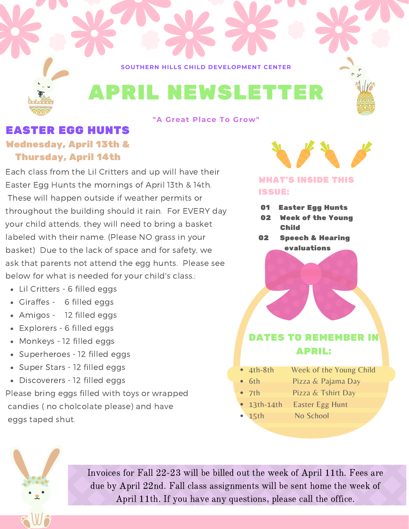**SOUTHERN HILLS CHILD DEVELOPMENT CENTER**



#### **"A Great Place To Grow"**

# EASTER EGG HUNTS Wednesday, April 13th & Thursday, April 14th

Each class from the Lil Critters and up will have their Easter Egg Hunts the mornings of April 13th & 14th. These will happen outside if weather permits or throughout the building should it rain. For EVERY day your child attends, they will need to bring a basket labeled with their name. (Please NO grass in your basket) Due to the lack of space and for safety, we ask that parents not attend the egg hunts. Please see below for what is needed for your child's class.:

- Lil Critters 6 filled eggs
- Giraffes 6 filled eggs
- Amigos 12 filled eggs
- Explorers 6 filled eggs
- Monkeys 12 filled eggs
- Superheroes 12 filled eggs
- Super Stars 12 filled eggs
- Discoverers 12 filled eggs

Please bring eggs filled with toys or wrapped candies ( no cholcolate please) and have eggs taped shut.

### WHAT'S INSIDE THIS ISSUE:

- 01 Easter Egg Hunts
- 02 Week of the Young Child
- 02 Speech & Hearing evaluations

# DATES TO REMEMBER IN APRIL:

- 4th-8th Week of the Young Child
- 6th Pizza & Pajama Day
- 7th Pizza & Tshirt Day
- **13th-14th Easter Egg Hunt**
- 15th No School



Invoices for Fall 22-23 will be billed out the week of April 11th. Fees are due by April 22nd. Fall class assignments will be sent home the week of April 11th. If you have any questions, please call the office.